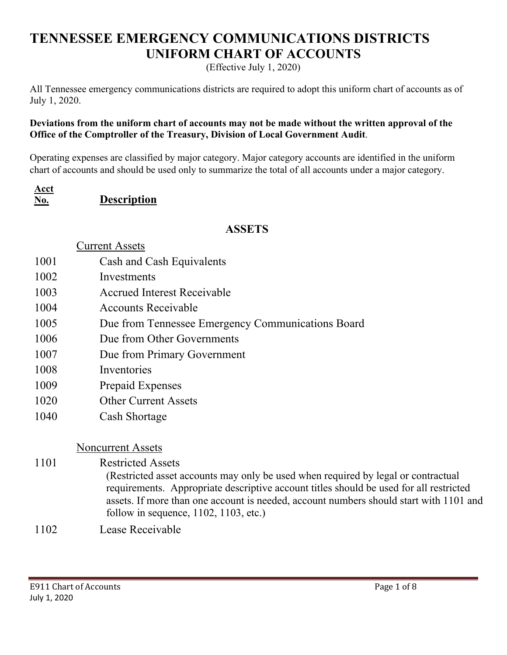# **TENNESSEE EMERGENCY COMMUNICATIONS DISTRICTS UNIFORM CHART OF ACCOUNTS**

(Effective July 1, 2020)

All Tennessee emergency communications districts are required to adopt this uniform chart of accounts as of July 1, 2020.

## **Deviations from the uniform chart of accounts may not be made without the written approval of the Office of the Comptroller of the Treasury, Division of Local Government Audit**.

Operating expenses are classified by major category. Major category accounts are identified in the uniform chart of accounts and should be used only to summarize the total of all accounts under a major category.

| Acct |                    |
|------|--------------------|
| No.  | <b>Description</b> |

## **ASSETS**

|      | Current Assets                                                                                                                                                                                                                                                                                                       |
|------|----------------------------------------------------------------------------------------------------------------------------------------------------------------------------------------------------------------------------------------------------------------------------------------------------------------------|
| 1001 | Cash and Cash Equivalents                                                                                                                                                                                                                                                                                            |
| 1002 | Investments                                                                                                                                                                                                                                                                                                          |
| 1003 | <b>Accrued Interest Receivable</b>                                                                                                                                                                                                                                                                                   |
| 1004 | <b>Accounts Receivable</b>                                                                                                                                                                                                                                                                                           |
| 1005 | Due from Tennessee Emergency Communications Board                                                                                                                                                                                                                                                                    |
| 1006 | Due from Other Governments                                                                                                                                                                                                                                                                                           |
| 1007 | Due from Primary Government                                                                                                                                                                                                                                                                                          |
| 1008 | Inventories                                                                                                                                                                                                                                                                                                          |
| 1009 | Prepaid Expenses                                                                                                                                                                                                                                                                                                     |
| 1020 | <b>Other Current Assets</b>                                                                                                                                                                                                                                                                                          |
| 1040 | Cash Shortage                                                                                                                                                                                                                                                                                                        |
|      | <b>Noncurrent Assets</b>                                                                                                                                                                                                                                                                                             |
| 1101 | <b>Restricted Assets</b>                                                                                                                                                                                                                                                                                             |
|      | (Restricted asset accounts may only be used when required by legal or contractual<br>requirements. Appropriate descriptive account titles should be used for all restricted<br>assets. If more than one account is needed, account numbers should start with 1101 and<br>follow in sequence, $1102$ , $1103$ , etc.) |
| 1100 | $\mathbf{r}$ $\mathbf{n}$ $\mathbf{r}$ 11                                                                                                                                                                                                                                                                            |

1102 Lease Receivable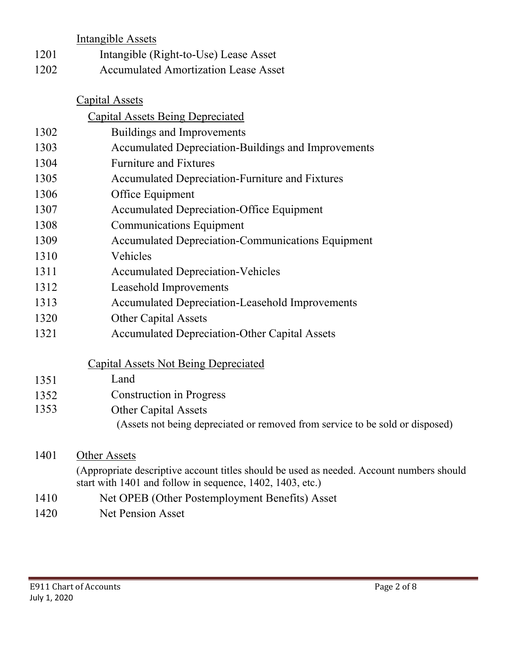|      | <b>Intangible Assets</b>                                                                 |  |  |  |  |
|------|------------------------------------------------------------------------------------------|--|--|--|--|
| 1201 | Intangible (Right-to-Use) Lease Asset                                                    |  |  |  |  |
| 1202 | <b>Accumulated Amortization Lease Asset</b>                                              |  |  |  |  |
|      |                                                                                          |  |  |  |  |
|      | <b>Capital Assets</b>                                                                    |  |  |  |  |
|      | <b>Capital Assets Being Depreciated</b>                                                  |  |  |  |  |
| 1302 | <b>Buildings and Improvements</b>                                                        |  |  |  |  |
| 1303 | Accumulated Depreciation-Buildings and Improvements                                      |  |  |  |  |
| 1304 | <b>Furniture and Fixtures</b>                                                            |  |  |  |  |
| 1305 | Accumulated Depreciation-Furniture and Fixtures                                          |  |  |  |  |
| 1306 | Office Equipment                                                                         |  |  |  |  |
| 1307 | <b>Accumulated Depreciation-Office Equipment</b>                                         |  |  |  |  |
| 1308 | <b>Communications Equipment</b>                                                          |  |  |  |  |
| 1309 | <b>Accumulated Depreciation-Communications Equipment</b>                                 |  |  |  |  |
| 1310 | Vehicles                                                                                 |  |  |  |  |
| 1311 | <b>Accumulated Depreciation-Vehicles</b>                                                 |  |  |  |  |
| 1312 | Leasehold Improvements                                                                   |  |  |  |  |
| 1313 | Accumulated Depreciation-Leasehold Improvements                                          |  |  |  |  |
| 1320 | <b>Other Capital Assets</b>                                                              |  |  |  |  |
| 1321 | <b>Accumulated Depreciation-Other Capital Assets</b>                                     |  |  |  |  |
|      | <b>Capital Assets Not Being Depreciated</b>                                              |  |  |  |  |
| 1351 | Land                                                                                     |  |  |  |  |
| 1352 | <b>Construction in Progress</b>                                                          |  |  |  |  |
| 1353 | <b>Other Capital Assets</b>                                                              |  |  |  |  |
|      | (Assets not being depreciated or removed from service to be sold or disposed)            |  |  |  |  |
| 1401 | Other Assets                                                                             |  |  |  |  |
|      | (Appropriate descriptive account titles should be used as needed. Account numbers should |  |  |  |  |
|      | start with 1401 and follow in sequence, 1402, 1403, etc.)                                |  |  |  |  |
| 1410 | Net OPEB (Other Postemployment Benefits) Asset                                           |  |  |  |  |

1420 Net Pension Asset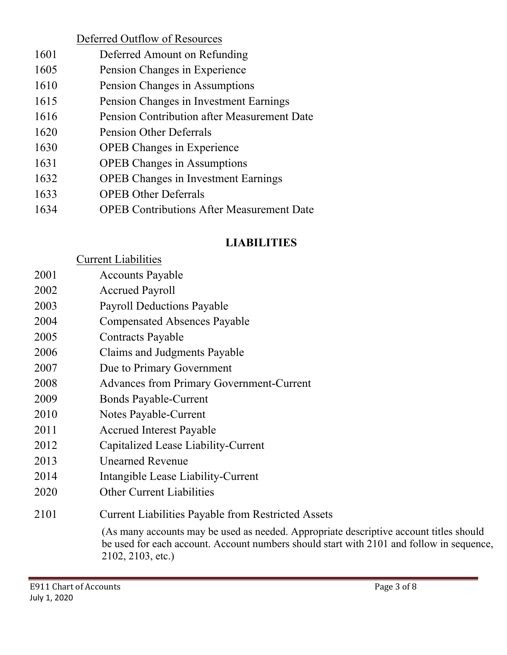|      | Deferred Outflow of Resources                    |
|------|--------------------------------------------------|
| 1601 | Deferred Amount on Refunding                     |
| 1605 | Pension Changes in Experience                    |
| 1610 | Pension Changes in Assumptions                   |
| 1615 | Pension Changes in Investment Earnings           |
| 1616 | Pension Contribution after Measurement Date      |
| 1620 | <b>Pension Other Deferrals</b>                   |
| 1630 | <b>OPEB</b> Changes in Experience                |
| 1631 | <b>OPEB</b> Changes in Assumptions               |
| 1632 | <b>OPEB</b> Changes in Investment Earnings       |
| 1633 | <b>OPEB Other Deferrals</b>                      |
| 1634 | <b>OPEB Contributions After Measurement Date</b> |

# **LIABILITIES**

|      | <b>Current Liabilities</b>                                                                                                                                                                              |
|------|---------------------------------------------------------------------------------------------------------------------------------------------------------------------------------------------------------|
| 2001 | <b>Accounts Payable</b>                                                                                                                                                                                 |
| 2002 | <b>Accrued Payroll</b>                                                                                                                                                                                  |
| 2003 | <b>Payroll Deductions Payable</b>                                                                                                                                                                       |
| 2004 | <b>Compensated Absences Payable</b>                                                                                                                                                                     |
| 2005 | <b>Contracts Payable</b>                                                                                                                                                                                |
| 2006 | Claims and Judgments Payable                                                                                                                                                                            |
| 2007 | Due to Primary Government                                                                                                                                                                               |
| 2008 | <b>Advances from Primary Government-Current</b>                                                                                                                                                         |
| 2009 | <b>Bonds Payable-Current</b>                                                                                                                                                                            |
| 2010 | Notes Payable-Current                                                                                                                                                                                   |
| 2011 | <b>Accrued Interest Payable</b>                                                                                                                                                                         |
| 2012 | Capitalized Lease Liability-Current                                                                                                                                                                     |
| 2013 | <b>Unearned Revenue</b>                                                                                                                                                                                 |
| 2014 | Intangible Lease Liability-Current                                                                                                                                                                      |
| 2020 | <b>Other Current Liabilities</b>                                                                                                                                                                        |
| 2101 | <b>Current Liabilities Payable from Restricted Assets</b>                                                                                                                                               |
|      | (As many accounts may be used as needed. Appropriate descriptive account titles should<br>be used for each account. Account numbers should start with 2101 and follow in sequence,<br>2102, 2103, etc.) |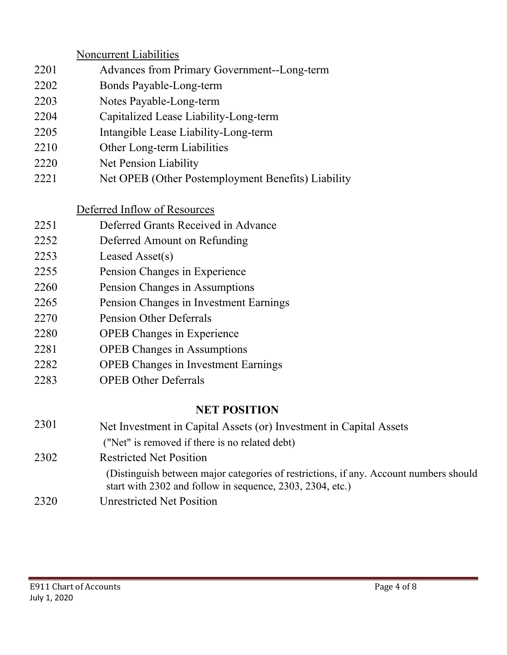|      | <b>Noncurrent Liabilities</b>                                                                                                                      |
|------|----------------------------------------------------------------------------------------------------------------------------------------------------|
| 2201 | Advances from Primary Government--Long-term                                                                                                        |
| 2202 | Bonds Payable-Long-term                                                                                                                            |
| 2203 | Notes Payable-Long-term                                                                                                                            |
| 2204 | Capitalized Lease Liability-Long-term                                                                                                              |
| 2205 | Intangible Lease Liability-Long-term                                                                                                               |
| 2210 | Other Long-term Liabilities                                                                                                                        |
| 2220 | Net Pension Liability                                                                                                                              |
| 2221 | Net OPEB (Other Postemployment Benefits) Liability                                                                                                 |
|      | Deferred Inflow of Resources                                                                                                                       |
| 2251 | Deferred Grants Received in Advance                                                                                                                |
| 2252 | Deferred Amount on Refunding                                                                                                                       |
| 2253 | Leased Asset(s)                                                                                                                                    |
| 2255 | Pension Changes in Experience                                                                                                                      |
| 2260 | Pension Changes in Assumptions                                                                                                                     |
| 2265 | Pension Changes in Investment Earnings                                                                                                             |
| 2270 | <b>Pension Other Deferrals</b>                                                                                                                     |
| 2280 | <b>OPEB</b> Changes in Experience                                                                                                                  |
| 2281 | <b>OPEB</b> Changes in Assumptions                                                                                                                 |
| 2282 | <b>OPEB</b> Changes in Investment Earnings                                                                                                         |
| 2283 | <b>OPEB Other Deferrals</b>                                                                                                                        |
|      | <b>NET POSITION</b>                                                                                                                                |
| 2301 | Net Investment in Capital Assets (or) Investment in Capital Assets                                                                                 |
|      | ("Net" is removed if there is no related debt)                                                                                                     |
| 2302 | <b>Restricted Net Position</b>                                                                                                                     |
|      | (Distinguish between major categories of restrictions, if any. Account numbers should<br>start with 2302 and follow in sequence, 2303, 2304, etc.) |
| 2320 | <b>Unrestricted Net Position</b>                                                                                                                   |
|      |                                                                                                                                                    |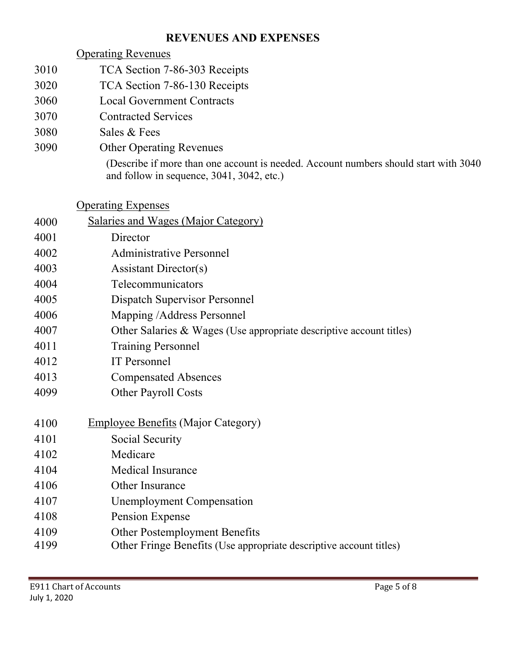# **REVENUES AND EXPENSES**

# Operating Revenues

- 3010 TCA Section 7-86-303 Receipts
- 3020 TCA Section 7-86-130 Receipts
- 3060 Local Government Contracts
- 3070 Contracted Services
- 3080 Sales & Fees
- 3090 Other Operating Revenues (Describe if more than one account is needed. Account numbers should start with 3040 and follow in sequence, 3041, 3042, etc.)

Operating Expenses

| 4000 | <b>Salaries and Wages (Major Category)</b>                          |
|------|---------------------------------------------------------------------|
| 4001 | Director                                                            |
| 4002 | <b>Administrative Personnel</b>                                     |
| 4003 | <b>Assistant Director(s)</b>                                        |
| 4004 | Telecommunicators                                                   |
| 4005 | Dispatch Supervisor Personnel                                       |
| 4006 | Mapping /Address Personnel                                          |
| 4007 | Other Salaries & Wages (Use appropriate descriptive account titles) |
| 4011 | <b>Training Personnel</b>                                           |
| 4012 | <b>IT</b> Personnel                                                 |
| 4013 | <b>Compensated Absences</b>                                         |
| 4099 | <b>Other Payroll Costs</b>                                          |
|      |                                                                     |
| 4100 | <b>Employee Benefits (Major Category)</b>                           |
| 4101 | Social Security                                                     |
| 4102 | Medicare                                                            |
| 4104 | <b>Medical Insurance</b>                                            |
| 4106 | Other Insurance                                                     |
| 4107 | <b>Unemployment Compensation</b>                                    |
| 4108 | Pension Expense                                                     |
| 4109 | Other Postemployment Benefits                                       |
| 4199 | Other Fringe Benefits (Use appropriate descriptive account titles)  |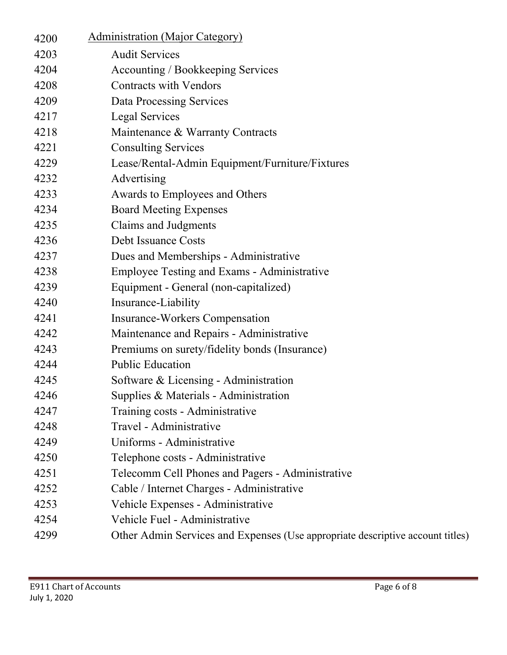| 4200 | <b>Administration (Major Category)</b>                                         |
|------|--------------------------------------------------------------------------------|
| 4203 | <b>Audit Services</b>                                                          |
| 4204 | Accounting / Bookkeeping Services                                              |
| 4208 | <b>Contracts with Vendors</b>                                                  |
| 4209 | Data Processing Services                                                       |
| 4217 | Legal Services                                                                 |
| 4218 | Maintenance & Warranty Contracts                                               |
| 4221 | <b>Consulting Services</b>                                                     |
| 4229 | Lease/Rental-Admin Equipment/Furniture/Fixtures                                |
| 4232 | Advertising                                                                    |
| 4233 | Awards to Employees and Others                                                 |
| 4234 | <b>Board Meeting Expenses</b>                                                  |
| 4235 | Claims and Judgments                                                           |
| 4236 | Debt Issuance Costs                                                            |
| 4237 | Dues and Memberships - Administrative                                          |
| 4238 | <b>Employee Testing and Exams - Administrative</b>                             |
| 4239 | Equipment - General (non-capitalized)                                          |
| 4240 | Insurance-Liability                                                            |
| 4241 | <b>Insurance-Workers Compensation</b>                                          |
| 4242 | Maintenance and Repairs - Administrative                                       |
| 4243 | Premiums on surety/fidelity bonds (Insurance)                                  |
| 4244 | <b>Public Education</b>                                                        |
| 4245 | Software & Licensing - Administration                                          |
| 4246 | Supplies & Materials - Administration                                          |
| 4247 | Training costs - Administrative                                                |
| 4248 | Travel - Administrative                                                        |
| 4249 | Uniforms - Administrative                                                      |
| 4250 | Telephone costs - Administrative                                               |
| 4251 | Telecomm Cell Phones and Pagers - Administrative                               |
| 4252 | Cable / Internet Charges - Administrative                                      |
| 4253 | Vehicle Expenses - Administrative                                              |
| 4254 | Vehicle Fuel - Administrative                                                  |
| 4299 | Other Admin Services and Expenses (Use appropriate descriptive account titles) |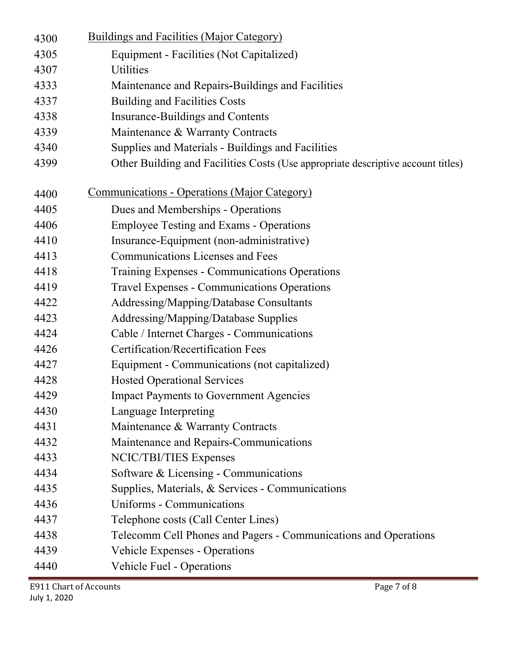| 4300 | <b>Buildings and Facilities (Major Category)</b>                                 |  |  |  |  |
|------|----------------------------------------------------------------------------------|--|--|--|--|
| 4305 | Equipment - Facilities (Not Capitalized)                                         |  |  |  |  |
| 4307 | <b>Utilities</b>                                                                 |  |  |  |  |
| 4333 | Maintenance and Repairs-Buildings and Facilities                                 |  |  |  |  |
| 4337 | <b>Building and Facilities Costs</b>                                             |  |  |  |  |
| 4338 | <b>Insurance-Buildings and Contents</b>                                          |  |  |  |  |
| 4339 | Maintenance & Warranty Contracts                                                 |  |  |  |  |
| 4340 | Supplies and Materials - Buildings and Facilities                                |  |  |  |  |
| 4399 | Other Building and Facilities Costs (Use appropriate descriptive account titles) |  |  |  |  |
| 4400 | <u><b>Communications - Operations (Major Category)</b></u>                       |  |  |  |  |
| 4405 | Dues and Memberships - Operations                                                |  |  |  |  |
| 4406 | <b>Employee Testing and Exams - Operations</b>                                   |  |  |  |  |
| 4410 | Insurance-Equipment (non-administrative)                                         |  |  |  |  |
| 4413 | <b>Communications Licenses and Fees</b>                                          |  |  |  |  |
| 4418 | Training Expenses - Communications Operations                                    |  |  |  |  |
| 4419 | <b>Travel Expenses - Communications Operations</b>                               |  |  |  |  |
| 4422 | Addressing/Mapping/Database Consultants                                          |  |  |  |  |
| 4423 | Addressing/Mapping/Database Supplies                                             |  |  |  |  |
| 4424 | Cable / Internet Charges - Communications                                        |  |  |  |  |
| 4426 | <b>Certification/Recertification Fees</b>                                        |  |  |  |  |
| 4427 | Equipment - Communications (not capitalized)                                     |  |  |  |  |
| 4428 | <b>Hosted Operational Services</b>                                               |  |  |  |  |
| 4429 | <b>Impact Payments to Government Agencies</b>                                    |  |  |  |  |
| 4430 | Language Interpreting                                                            |  |  |  |  |
| 4431 | Maintenance & Warranty Contracts                                                 |  |  |  |  |
| 4432 | Maintenance and Repairs-Communications                                           |  |  |  |  |
| 4433 | NCIC/TBI/TIES Expenses                                                           |  |  |  |  |
| 4434 | Software & Licensing - Communications                                            |  |  |  |  |
| 4435 | Supplies, Materials, & Services - Communications                                 |  |  |  |  |
| 4436 | Uniforms - Communications                                                        |  |  |  |  |
| 4437 | Telephone costs (Call Center Lines)                                              |  |  |  |  |
| 4438 | Telecomm Cell Phones and Pagers - Communications and Operations                  |  |  |  |  |
| 4439 | <b>Vehicle Expenses - Operations</b>                                             |  |  |  |  |
| 4440 | Vehicle Fuel - Operations                                                        |  |  |  |  |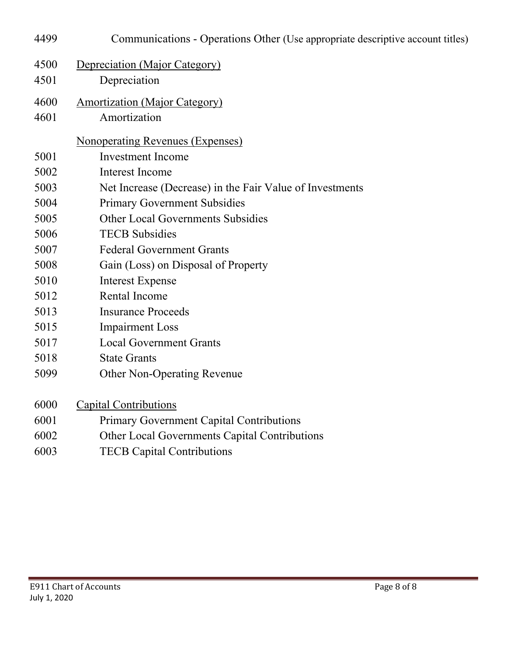| 4499 | Communications - Operations Other (Use appropriate descriptive account titles) |  |  |  |
|------|--------------------------------------------------------------------------------|--|--|--|
| 4500 | Depreciation (Major Category)                                                  |  |  |  |
| 4501 | Depreciation                                                                   |  |  |  |
| 4600 | <b>Amortization (Major Category)</b>                                           |  |  |  |
| 4601 | Amortization                                                                   |  |  |  |
|      | <b>Nonoperating Revenues (Expenses)</b>                                        |  |  |  |
| 5001 | <b>Investment Income</b>                                                       |  |  |  |
| 5002 | Interest Income                                                                |  |  |  |
| 5003 | Net Increase (Decrease) in the Fair Value of Investments                       |  |  |  |
| 5004 | <b>Primary Government Subsidies</b>                                            |  |  |  |
| 5005 | <b>Other Local Governments Subsidies</b>                                       |  |  |  |
| 5006 | <b>TECB</b> Subsidies                                                          |  |  |  |
| 5007 | <b>Federal Government Grants</b>                                               |  |  |  |
| 5008 | Gain (Loss) on Disposal of Property                                            |  |  |  |
| 5010 | <b>Interest Expense</b>                                                        |  |  |  |
| 5012 | <b>Rental Income</b>                                                           |  |  |  |
| 5013 | <b>Insurance Proceeds</b>                                                      |  |  |  |
| 5015 | <b>Impairment Loss</b>                                                         |  |  |  |
| 5017 | <b>Local Government Grants</b>                                                 |  |  |  |
| 5018 | <b>State Grants</b>                                                            |  |  |  |
| 5099 | <b>Other Non-Operating Revenue</b>                                             |  |  |  |
| 6000 | <b>Capital Contributions</b>                                                   |  |  |  |
| 6001 | <b>Primary Government Capital Contributions</b>                                |  |  |  |
| 6002 | Other Local Governments Capital Contributions                                  |  |  |  |
| 6003 | <b>TECB Capital Contributions</b>                                              |  |  |  |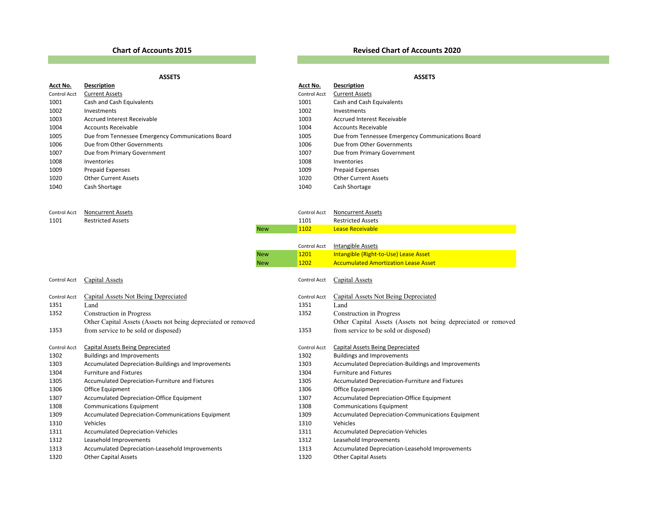### **Chart of Accounts**

### **2015 Revised Chart of Accounts 2020**

|              | <b>ASSETS</b>                                     |                     | <b>ASSETS</b>                                     |
|--------------|---------------------------------------------------|---------------------|---------------------------------------------------|
| Acct No.     | Description                                       | Acct No.            | <b>Description</b>                                |
| Control Acct | <b>Current Assets</b>                             | <b>Control Acct</b> | <b>Current Assets</b>                             |
| 1001         | Cash and Cash Equivalents                         | 1001                | Cash and Cash Equivalents                         |
| 1002         | Investments                                       | 1002                | Investments                                       |
| 1003         | <b>Accrued Interest Receivable</b>                | 1003                | <b>Accrued Interest Receivable</b>                |
| 1004         | Accounts Receivable                               | 1004                | Accounts Receivable                               |
| 1005         | Due from Tennessee Emergency Communications Board | 1005                | Due from Tennessee Emergency Communications Board |
| 1006         | Due from Other Governments                        | 1006                | Due from Other Governments                        |
| 1007         | Due from Primary Government                       | 1007                | Due from Primary Government                       |
| 1008         | Inventories                                       | 1008                | Inventories                                       |
| 1009         | <b>Prepaid Expenses</b>                           | 1009                | <b>Prepaid Expenses</b>                           |
| 1020         | <b>Other Current Assets</b>                       | 1020                | <b>Other Current Assets</b>                       |
| 1040         | Cash Shortage                                     | 1040                | Cash Shortage                                     |
|              | Cantral Agot Moncurront Accots                    |                     | Cantral Agot Moncurront Accots                    |

| Control Acct | Noncurrent Assets        | Control Acct | Noncurrent Assets        |
|--------------|--------------------------|--------------|--------------------------|
| 1101         | <b>Restricted Assets</b> | 1101         | <b>Restricted Assets</b> |
|              |                          | 1102         | Lease Receivable         |

|              |                                                               |            | Control Acct | Intangible Assets                                             |
|--------------|---------------------------------------------------------------|------------|--------------|---------------------------------------------------------------|
|              |                                                               | <b>New</b> | 1201         | Intangible (Right-to-Use) Lease Asset                         |
|              |                                                               | <b>New</b> | 1202         | <b>Accumulated Amortization Lease Asset</b>                   |
| Control Acct | Capital Assets                                                |            | Control Acct | Capital Assets                                                |
| Control Acct | Capital Assets Not Being Depreciated                          |            | Control Acct | Capital Assets Not Being Depreciated                          |
| 1351         | Land                                                          |            | 1351         | Land                                                          |
| 1352         | Construction in Progress                                      |            | 1352         | Construction in Progress                                      |
|              | Other Capital Assets (Assets not being depreciated or removed |            |              | Other Capital Assets (Assets not being depreciated or removed |
| 1353         | from service to be sold or disposed)                          |            | 1353         | from service to be sold or disposed)                          |
|              |                                                               |            |              |                                                               |
| Control Acct | Capital Assets Being Depreciated                              |            | Control Acct | Capital Assets Being Depreciated                              |
| 1302         | <b>Buildings and Improvements</b>                             |            | 1302         | <b>Buildings and Improvements</b>                             |
| 1303         | Accumulated Depreciation-Buildings and Improvements           |            | 1303         | Accumulated Depreciation-Buildings and Improvements           |
| 1304         | <b>Furniture and Fixtures</b>                                 |            | 1304         | <b>Furniture and Fixtures</b>                                 |
| 1305         | Accumulated Depreciation-Furniture and Fixtures               |            | 1305         | Accumulated Depreciation-Furniture and Fixtures               |
| 1306         | Office Equipment                                              |            | 1306         | Office Equipment                                              |
| 1307         | <b>Accumulated Depreciation-Office Equipment</b>              |            | 1307         | <b>Accumulated Depreciation-Office Equipment</b>              |
| 1308         | <b>Communications Equipment</b>                               |            | 1308         | <b>Communications Equipment</b>                               |
| 1309         | Accumulated Depreciation-Communications Equipment             |            | 1309         | <b>Accumulated Depreciation-Communications Equipment</b>      |
| 1310         | Vehicles                                                      |            | 1310         | Vehicles                                                      |
| 1311         | <b>Accumulated Depreciation-Vehicles</b>                      |            | 1311         | <b>Accumulated Depreciation-Vehicles</b>                      |
| 1312         | Leasehold Improvements                                        |            | 1312         | Leasehold Improvements                                        |
| 1313         | Accumulated Depreciation-Leasehold Improvements               |            | 1313         | Accumulated Depreciation-Leasehold Improvements               |
| 1320         | <b>Other Capital Assets</b>                                   |            | 1320         | <b>Other Capital Assets</b>                                   |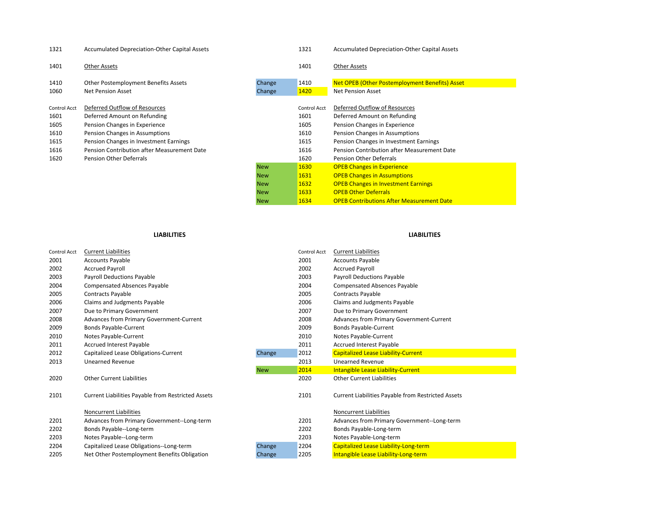| 1321         | <b>Accumulated Depreciation-Other Capital Assets</b> |            | 1321         | <b>Accumulated Depreciation-Other Capital Assets</b> |
|--------------|------------------------------------------------------|------------|--------------|------------------------------------------------------|
| 1401         | Other Assets                                         |            | 1401         | Other Assets                                         |
| 1410         | Other Postemployment Benefits Assets                 | Change     | 1410         | Net OPEB (Other Postemployment Benefits) Asset       |
| 1060         | Net Pension Asset                                    | Change     | 1420         | <b>Net Pension Asset</b>                             |
| Control Acct | Deferred Outflow of Resources                        |            | Control Acct | Deferred Outflow of Resources                        |
| 1601         | Deferred Amount on Refunding                         |            | 1601         | Deferred Amount on Refunding                         |
| 1605         | Pension Changes in Experience                        |            | 1605         | Pension Changes in Experience                        |
| 1610         | Pension Changes in Assumptions                       |            | 1610         | Pension Changes in Assumptions                       |
| 1615         | Pension Changes in Investment Earnings               |            | 1615         | Pension Changes in Investment Earnings               |
| 1616         | Pension Contribution after Measurement Date          |            | 1616         | Pension Contribution after Measurement Date          |
| 1620         | <b>Pension Other Deferrals</b>                       |            | 1620         | Pension Other Deferrals                              |
|              |                                                      | <b>New</b> | 1630         | <b>OPEB Changes in Experience</b>                    |
|              |                                                      | <b>New</b> | 1631         | <b>OPEB Changes in Assumptions</b>                   |
|              |                                                      | <b>New</b> | 1632         | <b>OPEB Changes in Investment Earnings</b>           |
|              |                                                      | <b>New</b> | 1633         | <b>OPEB Other Deferrals</b>                          |
|              |                                                      | <b>New</b> | 1634         | <b>OPEB Contributions After Measurement Date</b>     |

### **LIABILITIES LIABILITIES**

| Control Acct | <b>Current Liabilities</b>                                |            | Control Acct | <b>Current Liabilities</b>                         |
|--------------|-----------------------------------------------------------|------------|--------------|----------------------------------------------------|
| 2001         | <b>Accounts Payable</b>                                   |            | 2001         | <b>Accounts Payable</b>                            |
| 2002         | <b>Accrued Payroll</b>                                    |            | 2002         | <b>Accrued Payroll</b>                             |
| 2003         | Payroll Deductions Payable                                |            | 2003         | Payroll Deductions Payable                         |
| 2004         | <b>Compensated Absences Payable</b>                       |            | 2004         | <b>Compensated Absences Payable</b>                |
| 2005         | Contracts Payable                                         |            | 2005         | <b>Contracts Payable</b>                           |
| 2006         | Claims and Judgments Payable                              |            | 2006         | Claims and Judgments Payable                       |
| 2007         | Due to Primary Government                                 |            | 2007         | Due to Primary Government                          |
| 2008         | Advances from Primary Government-Current                  |            | 2008         | Advances from Primary Government-Current           |
| 2009         | <b>Bonds Payable-Current</b>                              |            | 2009         | <b>Bonds Payable-Current</b>                       |
| 2010         | Notes Payable-Current                                     |            | 2010         | Notes Payable-Current                              |
| 2011         | Accrued Interest Payable                                  |            | 2011         | Accrued Interest Payable                           |
| 2012         | Capitalized Lease Obligations-Current                     | Change     | 2012         | <b>Capitalized Lease Liability-Current</b>         |
| 2013         | <b>Unearned Revenue</b>                                   |            | 2013         | <b>Unearned Revenue</b>                            |
|              |                                                           | <b>New</b> | 2014         | <b>Intangible Lease Liability-Current</b>          |
| 2020         | <b>Other Current Liabilities</b>                          |            | 2020         | <b>Other Current Liabilities</b>                   |
| 2101         | <b>Current Liabilities Payable from Restricted Assets</b> |            | 2101         | Current Liabilities Payable from Restricted Assets |
|              | Noncurrent Liabilities                                    |            |              | Noncurrent Liabilities                             |
| 2201         | Advances from Primary Government--Long-term               |            | 2201         | Advances from Primary Government--Long-term        |
| 2202         | Bonds Payable--Long-term                                  |            | 2202         | Bonds Payable-Long-term                            |
| 2203         | Notes Payable--Long-term                                  |            | 2203         | Notes Payable-Long-term                            |
| 2204         | Capitalized Lease Obligations--Long-term                  | Change     | 2204         | Capitalized Lease Liability-Long-term              |
| 2205         | Net Other Postemployment Benefits Obligation              | Change     | 2205         | Intangible Lease Liability-Long-term               |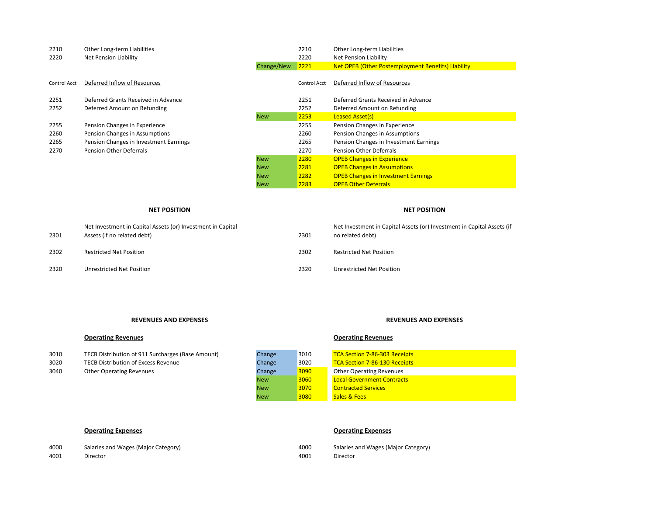| 2210         | Other Long-term Liabilities            |            | 2210         | Other Long-term Liabilities                        |
|--------------|----------------------------------------|------------|--------------|----------------------------------------------------|
| 2220         | Net Pension Liability                  |            | 2220         | Net Pension Liability                              |
|              |                                        | Change/New | 2221         | Net OPEB (Other Postemployment Benefits) Liability |
| Control Acct | Deferred Inflow of Resources           |            | Control Acct | Deferred Inflow of Resources                       |
| 2251         | Deferred Grants Received in Advance    |            | 2251         | Deferred Grants Received in Advance                |
| 2252         | Deferred Amount on Refunding           |            | 2252         | Deferred Amount on Refunding                       |
|              |                                        | <b>New</b> | 2253         | <b>Leased Asset(s)</b>                             |
| 2255         | Pension Changes in Experience          |            | 2255         | Pension Changes in Experience                      |
| 2260         | Pension Changes in Assumptions         |            | 2260         | Pension Changes in Assumptions                     |
| 2265         | Pension Changes in Investment Earnings |            | 2265         | Pension Changes in Investment Earnings             |
| 2270         | <b>Pension Other Deferrals</b>         |            | 2270         | Pension Other Deferrals                            |
|              |                                        | <b>New</b> | 2280         | <b>OPEB Changes in Experience</b>                  |
|              |                                        | <b>New</b> | 2281         | <b>OPEB Changes in Assumptions</b>                 |
|              |                                        | <b>New</b> | 2282         | <b>OPEB Changes in Investment Earnings</b>         |

### **NET POSITION POSITION NET POSITION**

### 2301Net Investment in Capital Assets (or) Investment in Capital Assets (if no related debt) 2301 Net Investment in Capital Assets (or) Investment in Capital Assets (if no related debt) 2302 Restricted Net Position 2302 Restricted Net Position 2320 Unrestricted Net Position 2320 Unrestricted Net Position

New 2283

### **REVENUES AND**

## **EXPENSES REVENUES AND EXPENSES**

## **Operating Revenues Operating Revenues**

| 3010 | TECB Distribution of 911 Surcharges (Base Amount) |
|------|---------------------------------------------------|
| 3020 | TECB Distribution of Excess Revenue               |
| จ∩⊿ก | Other Onerating Revenues                          |

| 3010 | TECB Distribution of 911 Surcharges (Base Amount) | Change     | 3010 | <b>TCA Section 7-86-303 Receipts</b> |
|------|---------------------------------------------------|------------|------|--------------------------------------|
| 3020 | <b>TECB Distribution of Excess Revenue</b>        | Change     | 3020 | <b>TCA Section 7-86-130 Receipts</b> |
| 3040 | <b>Other Operating Revenues</b>                   | Change     | 3090 | <b>Other Operating Revenues</b>      |
|      |                                                   | <b>New</b> | 3060 | <b>Local Government Contracts</b>    |
|      |                                                   | <b>New</b> | 3070 | <b>Contracted Services</b>           |
|      |                                                   | <b>New</b> | 3080 | <b>Sales &amp; Fees</b>              |

## **Operating Expenses Operating Expenses**

**OPEB Other Deferrals** 

| 4000 | Salaries and Wages (Major Category) | 4000 | Salaries and Wages (Major Category) |
|------|-------------------------------------|------|-------------------------------------|
| 4001 | Director                            | 4001 | Director                            |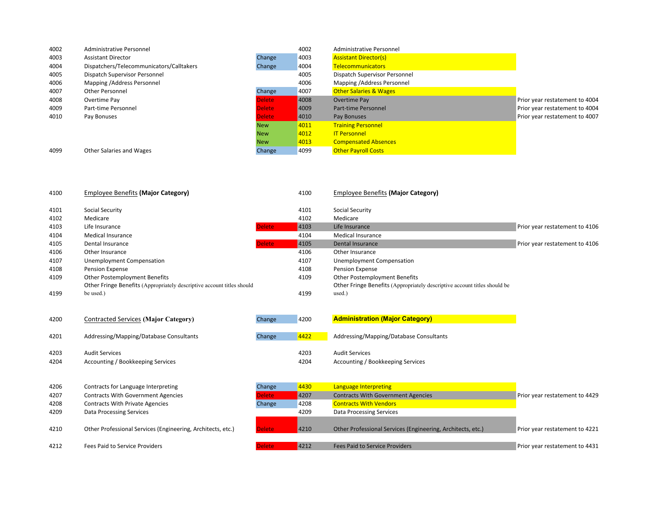| 4002 | <b>Administrative Personnel</b>          |               | 4002 | Administrative Personnel          |                                |
|------|------------------------------------------|---------------|------|-----------------------------------|--------------------------------|
| 4003 | <b>Assistant Director</b>                | Change        | 4003 | <b>Assistant Director(s)</b>      |                                |
| 4004 | Dispatchers/Telecommunicators/Calltakers | Change        | 4004 | <b>Telecommunicators</b>          |                                |
| 4005 | Dispatch Supervisor Personnel            |               | 4005 | Dispatch Supervisor Personnel     |                                |
| 4006 | Mapping / Address Personnel              |               | 4006 | Mapping / Address Personnel       |                                |
| 4007 | Other Personnel                          | Change        | 4007 | <b>Other Salaries &amp; Wages</b> |                                |
| 4008 | Overtime Pay                             | Delete        | 4008 | Overtime Pay                      | Prior year restatement to 4004 |
| 4009 | Part-time Personnel                      | Delete        | 4009 | Part-time Personnel               | Prior year restatement to 4004 |
| 4010 | Pay Bonuses                              | <b>Delete</b> | 4010 | Pay Bonuses                       | Prior year restatement to 4007 |
|      |                                          | <b>New</b>    | 4011 | <b>Training Personnel</b>         |                                |
|      |                                          | <b>New</b>    | 4012 | <b>IT Personnel</b>               |                                |
|      |                                          | <b>New</b>    | 4013 | <b>Compensated Absences</b>       |                                |
| 4099 | Other Salaries and Wages                 | Change        | 4099 | <b>Other Payroll Costs</b>        |                                |

| 4100 | <b>Employee Benefits (Major Category)</b>                              |               | 4100 | <b>Employee Benefits (Major Category)</b>                                 |                                |
|------|------------------------------------------------------------------------|---------------|------|---------------------------------------------------------------------------|--------------------------------|
| 4101 | Social Security                                                        |               | 4101 | Social Security                                                           |                                |
| 4102 | Medicare                                                               |               | 4102 | Medicare                                                                  |                                |
| 4103 | Life Insurance                                                         | <b>Delete</b> | 4103 | Life Insurance                                                            | Prior year restatement to 4106 |
| 4104 | <b>Medical Insurance</b>                                               |               | 4104 | <b>Medical Insurance</b>                                                  |                                |
| 4105 | Dental Insurance                                                       | <b>Delete</b> | 4105 | Dental Insurance                                                          | Prior year restatement to 4106 |
| 4106 | Other Insurance                                                        |               | 4106 | Other Insurance                                                           |                                |
| 4107 | Unemployment Compensation                                              |               | 4107 | Unemployment Compensation                                                 |                                |
| 4108 | Pension Expense                                                        |               | 4108 | <b>Pension Expense</b>                                                    |                                |
| 4109 | Other Postemployment Benefits                                          |               | 4109 | Other Postemployment Benefits                                             |                                |
|      | Other Fringe Benefits (Appropriately descriptive account titles should |               |      | Other Fringe Benefits (Appropriately descriptive account titles should be |                                |
| 4199 | be used.)                                                              |               | 4199 | used.)                                                                    |                                |

| 4200         | Contracted Services (Major Category)                       | Change | 4200         | <b>Administration (Major Category)</b>                     |
|--------------|------------------------------------------------------------|--------|--------------|------------------------------------------------------------|
| 4201         | Addressing/Mapping/Database Consultants                    | Change | 4422         | Addressing/Mapping/Database Consultants                    |
| 4203<br>4204 | <b>Audit Services</b><br>Accounting / Bookkeeping Services |        | 4203<br>4204 | <b>Audit Services</b><br>Accounting / Bookkeeping Services |

| 4206 | Contracts for Language Interpreting                         | Change        | 4430 | Language Interpreting                                       |                                |
|------|-------------------------------------------------------------|---------------|------|-------------------------------------------------------------|--------------------------------|
| 4207 | <b>Contracts With Government Agencies</b>                   | Delete        | 4207 | <b>Contracts With Government Agencies</b>                   | Prior year restatement to 4429 |
| 4208 | <b>Contracts With Private Agencies</b>                      | Change        | 4208 | <b>Contracts With Vendors</b>                               |                                |
| 4209 | Data Processing Services                                    |               | 4209 | <b>Data Processing Services</b>                             |                                |
| 4210 | Other Professional Services (Engineering, Architects, etc.) | <b>Delete</b> | 4210 | Other Professional Services (Engineering, Architects, etc.) | Prior year restatement to 4221 |
| 4212 | Fees Paid to Service Providers                              | <b>Delete</b> | 4212 | <b>Fees Paid to Service Providers</b>                       | Prior year restatement to 4431 |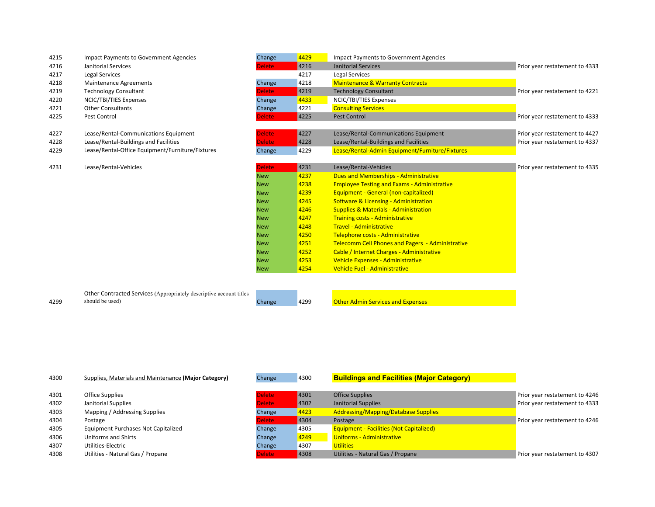| 4215 | <b>Impact Payments to Government Agencies</b>                       | Change        | 4429 | <b>Impact Payments to Government Agencies</b>      |                                |
|------|---------------------------------------------------------------------|---------------|------|----------------------------------------------------|--------------------------------|
| 4216 | Janitorial Services                                                 | <b>Delete</b> | 4216 | <b>Janitorial Services</b>                         | Prior year restatement to 4333 |
| 4217 | Legal Services                                                      |               | 4217 | Legal Services                                     |                                |
| 4218 | Maintenance Agreements                                              | Change        | 4218 | <b>Maintenance &amp; Warranty Contracts</b>        |                                |
| 4219 | <b>Technology Consultant</b>                                        | <b>Delete</b> | 4219 | <b>Technology Consultant</b>                       | Prior year restatement to 4221 |
| 4220 | NCIC/TBI/TIES Expenses                                              | Change        | 4433 | NCIC/TBI/TIES Expenses                             |                                |
| 4221 | <b>Other Consultants</b>                                            | Change        | 4221 | <b>Consulting Services</b>                         |                                |
| 4225 | Pest Control                                                        | <b>Delete</b> | 4225 | <b>Pest Control</b>                                | Prior year restatement to 4333 |
| 4227 | Lease/Rental-Communications Equipment                               | <b>Delete</b> | 4227 | Lease/Rental-Communications Equipment              | Prior year restatement to 4427 |
| 4228 | Lease/Rental-Buildings and Facilities                               | <b>Delete</b> | 4228 | Lease/Rental-Buildings and Facilities              | Prior year restatement to 4337 |
| 4229 | Lease/Rental-Office Equipment/Furniture/Fixtures                    | Change        | 4229 | Lease/Rental-Admin Equipment/Furniture/Fixtures    |                                |
|      |                                                                     |               |      |                                                    |                                |
| 4231 | Lease/Rental-Vehicles                                               | <b>Delete</b> | 4231 | Lease/Rental-Vehicles                              | Prior year restatement to 4335 |
|      |                                                                     | <b>New</b>    | 4237 | <b>Dues and Memberships - Administrative</b>       |                                |
|      |                                                                     | <b>New</b>    | 4238 | <b>Employee Testing and Exams - Administrative</b> |                                |
|      |                                                                     | <b>New</b>    | 4239 | Equipment - General (non-capitalized)              |                                |
|      |                                                                     | <b>New</b>    | 4245 | <b>Software &amp; Licensing - Administration</b>   |                                |
|      |                                                                     | <b>New</b>    | 4246 | <b>Supplies &amp; Materials - Administration</b>   |                                |
|      |                                                                     | <b>New</b>    | 4247 | <b>Training costs - Administrative</b>             |                                |
|      |                                                                     | <b>New</b>    | 4248 | <b>Travel - Administrative</b>                     |                                |
|      |                                                                     | <b>New</b>    | 4250 | Telephone costs - Administrative                   |                                |
|      |                                                                     | <b>New</b>    | 4251 | Telecomm Cell Phones and Pagers - Administrative   |                                |
|      |                                                                     | <b>New</b>    | 4252 | Cable / Internet Charges - Administrative          |                                |
|      |                                                                     | <b>New</b>    | 4253 | Vehicle Expenses - Administrative                  |                                |
|      |                                                                     | <b>New</b>    | 4254 | Vehicle Fuel - Administrative                      |                                |
|      |                                                                     |               |      |                                                    |                                |
|      | Other Contracted Services (Appropriately descriptive account titles |               |      |                                                    |                                |
| 4299 | should be used)                                                     | Change        | 4299 | <b>Other Admin Services and Expenses</b>           |                                |
|      |                                                                     |               |      |                                                    |                                |

| 4300 | Supplies, Materials and Maintenance (Major Category) | Change        | 4300 | <b>Buildings and Facilities (Major Category)</b> |                                |
|------|------------------------------------------------------|---------------|------|--------------------------------------------------|--------------------------------|
| 4301 | Office Supplies                                      | <b>Delete</b> | 4301 | <b>Office Supplies</b>                           | Prior year restatement to 4246 |
| 4302 | Janitorial Supplies                                  | elete:        | 4302 | Janitorial Supplies                              | Prior year restatement to 4333 |
| 4303 | Mapping / Addressing Supplies                        | Change        | 4423 | <b>Addressing/Mapping/Database Supplies</b>      |                                |
| 4304 | Postage                                              | Delete        | 4304 | Postage                                          | Prior year restatement to 4246 |
| 4305 | Equipment Purchases Not Capitalized                  | Change        | 4305 | <b>Equipment - Facilities (Not Capitalized)</b>  |                                |
| 4306 | Uniforms and Shirts                                  | Change        | 4249 | Uniforms - Administrative                        |                                |
| 4307 | Utilities-Electric                                   | Change        | 4307 | <b>Utilities</b>                                 |                                |
| 4308 | Utilities - Natural Gas / Propane                    | <b>Delete</b> | 4308 | Utilities - Natural Gas / Propane                | Prior year restatement to 4307 |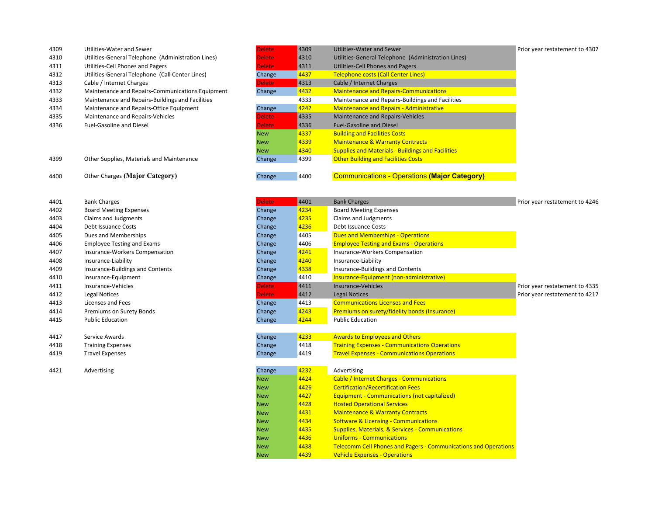| 4309 | Utilities-Water and Sewer                          | Delete     | 4309 | <b>Utilities-Water and Sewer</b>                         | Prior year restatement to 4307 |
|------|----------------------------------------------------|------------|------|----------------------------------------------------------|--------------------------------|
| 4310 | Utilities-General Telephone (Administration Lines) | Delete     | 4310 | Utilities-General Telephone (Administration Lines)       |                                |
| 4311 | Utilities-Cell Phones and Pagers                   | Delete     | 4311 | Utilities-Cell Phones and Pagers                         |                                |
| 4312 | Utilities-General Telephone (Call Center Lines)    | Change     | 4437 | <b>Telephone costs (Call Center Lines)</b>               |                                |
| 4313 | Cable / Internet Charges                           | Delete     | 4313 | Cable / Internet Charges                                 |                                |
| 4332 | Maintenance and Repairs-Communications Equipment   | Change     | 4432 | <b>Maintenance and Repairs-Communications</b>            |                                |
| 4333 | Maintenance and Repairs-Buildings and Facilities   |            | 4333 | Maintenance and Repairs-Buildings and Facilities         |                                |
| 4334 | Maintenance and Repairs-Office Equipment           | Change     | 4242 | <b>Maintenance and Repairs - Administrative</b>          |                                |
| 4335 | Maintenance and Repairs-Vehicles                   | Delete     | 4335 | Maintenance and Repairs-Vehicles                         |                                |
| 4336 | <b>Fuel-Gasoline and Diesel</b>                    | Delete     | 4336 | <b>Fuel-Gasoline and Diesel</b>                          |                                |
|      |                                                    | <b>New</b> | 4337 | <b>Building and Facilities Costs</b>                     |                                |
|      |                                                    | <b>New</b> | 4339 | <b>Maintenance &amp; Warranty Contracts</b>              |                                |
|      |                                                    | <b>New</b> | 4340 | <b>Supplies and Materials - Buildings and Facilities</b> |                                |
| 4399 | Other Supplies, Materials and Maintenance          | Change     | 4399 | <b>Other Building and Facilities Costs</b>               |                                |
| 4400 | Other Charges (Major Category)                     | Change     | 4400 | <b>Communications - Operations (Major Category)</b>      |                                |

| 4401 | <b>Bank Charges</b>                     | <b>Delete</b> | 4401 | <b>Bank Charges</b>        |
|------|-----------------------------------------|---------------|------|----------------------------|
| 4402 | <b>Board Meeting Expenses</b>           | Change        | 4234 | <b>Board Meeting Exp</b>   |
| 4403 | Claims and Judgments                    | Change        | 4235 | Claims and Judgm           |
| 4404 | Debt Issuance Costs                     | Change        | 4236 | Debt Issuance Cos          |
| 4405 | Dues and Memberships                    | Change        | 4405 | <b>Dues and Member</b>     |
| 4406 | <b>Employee Testing and Exams</b>       | Change        | 4406 | <b>Employee Testing</b>    |
| 4407 | Insurance-Workers Compensation          | Change        | 4241 | Insurance-Worker           |
| 4408 | Insurance-Liability                     | Change        | 4240 | Insurance-Liability        |
| 4409 | <b>Insurance-Buildings and Contents</b> | Change        | 4338 | Insurance-Building         |
| 4410 | Insurance-Equipment                     | Change        | 4410 | <b>Insurance-Equipm</b>    |
| 4411 | Insurance-Vehicles                      | <b>Delete</b> | 4411 | Insurance-Vehicle:         |
| 4412 | Legal Notices                           | <b>Delete</b> | 4412 | <b>Legal Notices</b>       |
| 4413 | Licenses and Fees                       | Change        | 4413 | <b>Communications I</b>    |
| 4414 | Premiums on Surety Bonds                | Change        | 4243 | <b>Premiums on sure</b>    |
| 4415 | <b>Public Education</b>                 | Change        | 4244 | <b>Public Education</b>    |
|      |                                         |               |      |                            |
| 4417 | Service Awards                          | Change        | 4233 | <b>Awards to Employ</b>    |
| 4418 | <b>Training Expenses</b>                | Change        | 4418 | <b>Training Expenses</b>   |
| 4419 | <b>Travel Expenses</b>                  | Change        | 4419 | <b>Travel Expenses - I</b> |
|      |                                         |               |      |                            |
| 4421 | Advertising                             | Change        | 4232 | Advertising                |
|      |                                         |               |      |                            |

| 4401 | <b>Bank Charges</b>               | <b>Delete</b> | 4401 | <b>Bank Charges</b>                                  | Prior year restatement to 4246 |
|------|-----------------------------------|---------------|------|------------------------------------------------------|--------------------------------|
| 4402 | <b>Board Meeting Expenses</b>     | Change        | 4234 | <b>Board Meeting Expenses</b>                        |                                |
| 4403 | Claims and Judgments              | Change        | 4235 | Claims and Judgments                                 |                                |
| 4404 | Debt Issuance Costs               | Change        | 4236 | Debt Issuance Costs                                  |                                |
| 4405 | Dues and Memberships              | Change        | 4405 | <b>Dues and Memberships - Operations</b>             |                                |
| 4406 | <b>Employee Testing and Exams</b> | Change        | 4406 | <b>Employee Testing and Exams - Operations</b>       |                                |
| 4407 | Insurance-Workers Compensation    | Change        | 4241 | <b>Insurance-Workers Compensation</b>                |                                |
| 4408 | Insurance-Liability               | Change        | 4240 | Insurance-Liability                                  |                                |
| 4409 | Insurance-Buildings and Contents  | Change        | 4338 | Insurance-Buildings and Contents                     |                                |
| 4410 | Insurance-Equipment               | Change        | 4410 | Insurance-Equipment (non-administrative)             |                                |
| 4411 | Insurance-Vehicles                | <b>Delete</b> | 4411 | Insurance-Vehicles                                   | Prior year restatement to 4335 |
| 4412 | Legal Notices                     | <b>Delete</b> | 4412 | Legal Notices                                        | Prior year restatement to 4217 |
| 4413 | Licenses and Fees                 | Change        | 4413 | <b>Communications Licenses and Fees</b>              |                                |
| 4414 | Premiums on Surety Bonds          | Change        | 4243 | <b>Premiums on surety/fidelity bonds (Insurance)</b> |                                |
| 4415 | <b>Public Education</b>           | Change        | 4244 | <b>Public Education</b>                              |                                |
|      |                                   |               |      |                                                      |                                |
| 4417 | Service Awards                    | Change        | 4233 | <b>Awards to Employees and Others</b>                |                                |
| 4418 | <b>Training Expenses</b>          | <b>Change</b> | 4418 | <b>Training Expenses - Communications Operations</b> |                                |

| Change     | 4232 | Advertising                                                            |
|------------|------|------------------------------------------------------------------------|
| <b>New</b> | 4424 | <b>Cable / Internet Charges - Communications</b>                       |
| <b>New</b> | 4426 | <b>Certification/Recertification Fees</b>                              |
| <b>New</b> | 4427 | <b>Equipment - Communications (not capitalized)</b>                    |
| <b>New</b> | 4428 | <b>Hosted Operational Services</b>                                     |
| <b>New</b> | 4431 | <b>Maintenance &amp; Warranty Contracts</b>                            |
| <b>New</b> | 4434 | <b>Software &amp; Licensing - Communications</b>                       |
| <b>New</b> | 4435 | <b>Supplies, Materials, &amp; Services - Communications</b>            |
| <b>New</b> | 4436 | <b>Uniforms - Communications</b>                                       |
| <b>New</b> | 4438 | <b>Telecomm Cell Phones and Pagers - Communications and Operations</b> |
| <b>New</b> | 4439 | <b>Vehicle Expenses - Operations</b>                                   |

Change 4419 **Travel Expenses - Communications Operations** 

 $\overline{\mathbf{N}}$